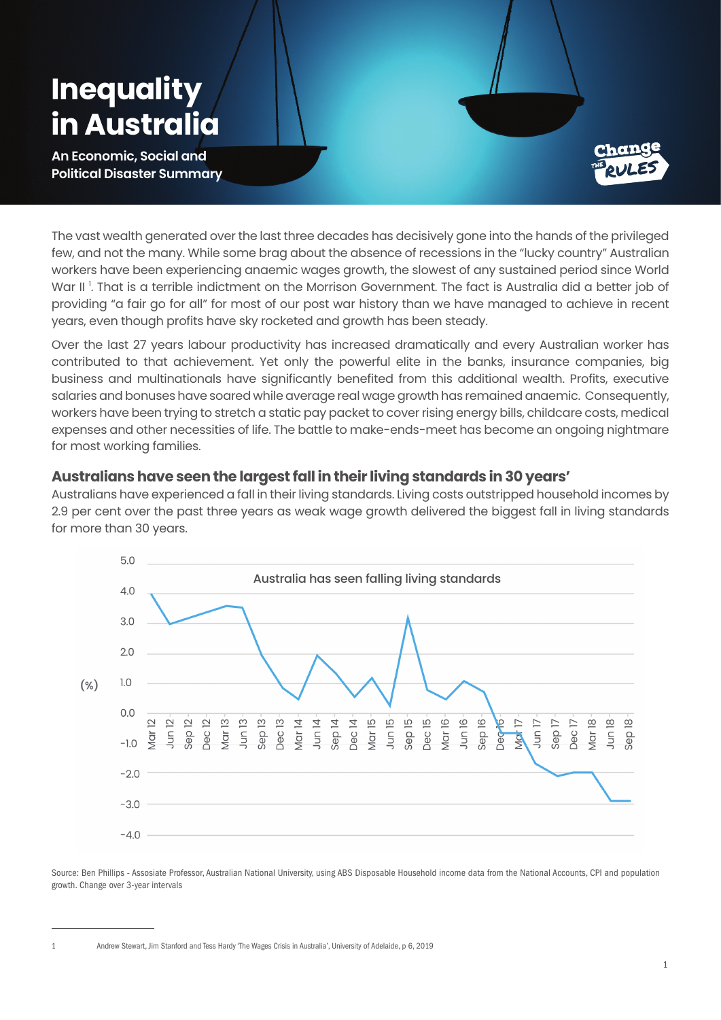# **Inequality in Austral**

**An Economic, Social and Political Disaster Summary**



The vast wealth generated over the last three decades has decisively gone into the hands of the privileged few, and not the many. While some brag about the absence of recessions in the "lucky country" Australian workers have been experiencing anaemic wages growth, the slowest of any sustained period since World War II <sup>1</sup>. That is a terrible indictment on the Morrison Government. The fact is Australia did a better job of providing "a fair go for all" for most of our post war history than we have managed to achieve in recent years, even though profits have sky rocketed and growth has been steady.

Over the last 27 years labour productivity has increased dramatically and every Australian worker has contributed to that achievement. Yet only the powerful elite in the banks, insurance companies, big business and multinationals have significantly benefited from this additional wealth. Profits, executive salaries and bonuses have soared while average real wage growth has remained anaemic. Consequently, workers have been trying to stretch a static pay packet to cover rising energy bills, childcare costs, medical expenses and other necessities of life. The battle to make-ends-meet has become an ongoing nightmare for most working families.

### **Australians have seen the largest fall in their living standards in 30 years'**

Australians have experienced a fall in their living standards. Living costs outstripped household incomes by 2.9 per cent over the past three years as weak wage growth delivered the biggest fall in living standards for more than 30 years.



Source: Ben Phillips - Assosiate Professor, Australian National University, using ABS Disposable Household income data from the National Accounts, CPI and population growth. Change over 3-year intervals

1 Andrew Stewart, Jim Stanford and Tess Hardy 'The Wages Crisis in Australia', University of Adelaide, p 6, 2019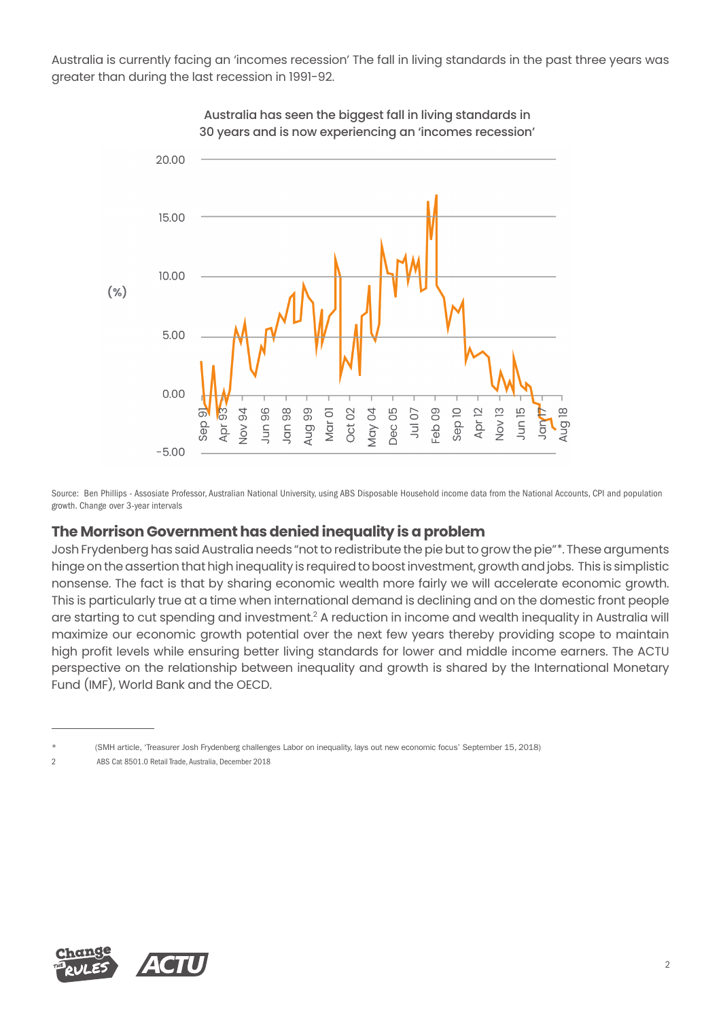Australia is currently facing an 'incomes recession' The fall in living standards in the past three years was greater than during the last recession in 1991-92.



Australia has seen the biggest fall in living standards in 30 years and is now experiencing an 'incomes recession'

Source: Ben Phillips - Assosiate Professor, Australian National University, using ABS Disposable Household income data from the National Accounts, CPI and population growth. Change over 3-year intervals

#### **The Morrison Government has denied inequality is a problem**

Josh Frydenberg has said Australia needs "not to redistribute the pie but to grow the pie"\*. These arguments hinge on the assertion that high inequality is required to boost investment, growth and jobs. This is simplistic nonsense. The fact is that by sharing economic wealth more fairly we will accelerate economic growth. This is particularly true at a time when international demand is declining and on the domestic front people are starting to cut spending and investment.<sup>2</sup> A reduction in income and wealth inequality in Australia will maximize our economic growth potential over the next few years thereby providing scope to maintain high profit levels while ensuring better living standards for lower and middle income earners. The ACTU perspective on the relationship between inequality and growth is shared by the International Monetary Fund (IMF), World Bank and the OECD.



<sup>(</sup>SMH article, 'Treasurer Josh Frydenberg challenges Labor on inequality, lays out new economic focus' September 15, 2018)

<sup>2</sup> ABS Cat 8501.0 Retail Trade, Australia, December 2018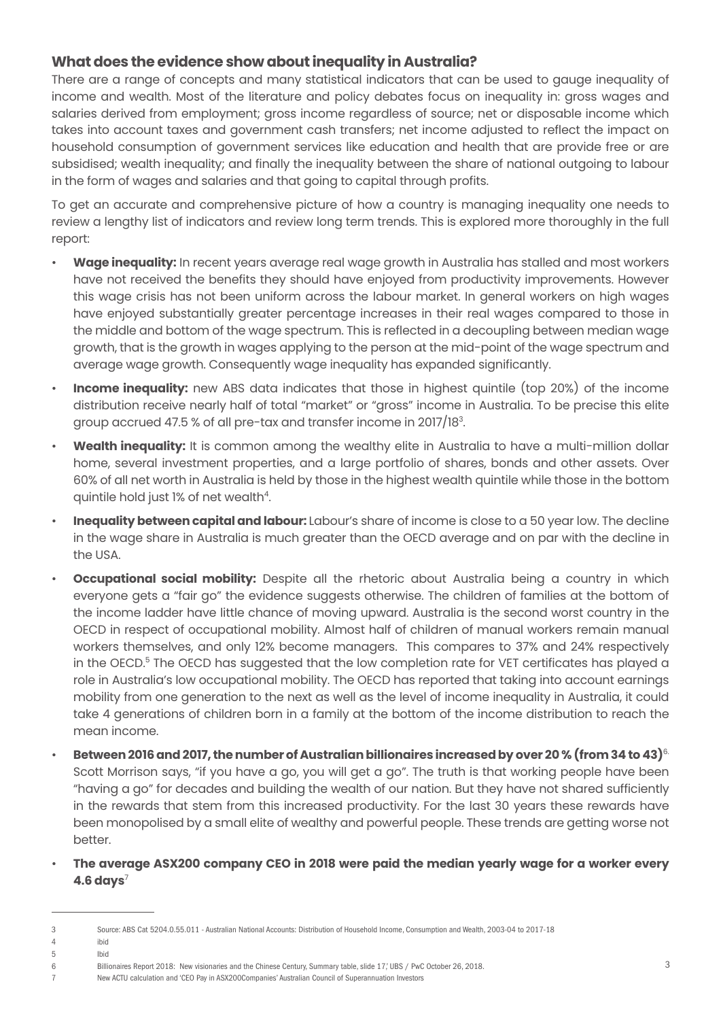## **What does the evidence show about inequality in Australia?**

There are a range of concepts and many statistical indicators that can be used to gauge inequality of income and wealth. Most of the literature and policy debates focus on inequality in: gross wages and salaries derived from employment; gross income regardless of source; net or disposable income which takes into account taxes and government cash transfers; net income adjusted to reflect the impact on household consumption of government services like education and health that are provide free or are subsidised; wealth inequality; and finally the inequality between the share of national outgoing to labour in the form of wages and salaries and that going to capital through profits.

To get an accurate and comprehensive picture of how a country is managing inequality one needs to review a lengthy list of indicators and review long term trends. This is explored more thoroughly in the full report:

- **Wage inequality:** In recent years average real wage growth in Australia has stalled and most workers have not received the benefits they should have enjoyed from productivity improvements. However this wage crisis has not been uniform across the labour market. In general workers on high wages have enjoyed substantially greater percentage increases in their real wages compared to those in the middle and bottom of the wage spectrum. This is reflected in a decoupling between median wage growth, that is the growth in wages applying to the person at the mid-point of the wage spectrum and average wage growth. Consequently wage inequality has expanded significantly.
- **Income inequality:** new ABS data indicates that those in highest quintile (top 20%) of the income distribution receive nearly half of total "market" or "gross" income in Australia. To be precise this elite group accrued 47.5 % of all pre-tax and transfer income in 2017/18 $^{\rm 3}.$
- **Wealth inequality:** It is common among the wealthy elite in Australia to have a multi-million dollar home, several investment properties, and a large portfolio of shares, bonds and other assets. Over 60% of all net worth in Australia is held by those in the highest wealth quintile while those in the bottom quintile hold just 1% of net wealth $^4$ .
- **Inequality between capital and labour:** Labour's share of income is close to a 50 year low. The decline in the wage share in Australia is much greater than the OECD average and on par with the decline in the USA.
- **Occupational social mobility:** Despite all the rhetoric about Australia being a country in which everyone gets a "fair go" the evidence suggests otherwise. The children of families at the bottom of the income ladder have little chance of moving upward. Australia is the second worst country in the OECD in respect of occupational mobility. Almost half of children of manual workers remain manual workers themselves, and only 12% become managers. This compares to 37% and 24% respectively in the OECD.<sup>5</sup> The OECD has suggested that the low completion rate for VET certificates has played a role in Australia's low occupational mobility. The OECD has reported that taking into account earnings mobility from one generation to the next as well as the level of income inequality in Australia, it could take 4 generations of children born in a family at the bottom of the income distribution to reach the mean income.
- **Between 2016 and 2017, the number of Australian billionaires increased by over 20 % (from 34 to 43)**6. Scott Morrison says, "if you have a go, you will get a go". The truth is that working people have been "having a go" for decades and building the wealth of our nation. But they have not shared sufficiently in the rewards that stem from this increased productivity. For the last 30 years these rewards have been monopolised by a small elite of wealthy and powerful people. These trends are getting worse not better.
- **The average ASX200 company CEO in 2018 were paid the median yearly wage for a worker every 4.6 days**<sup>7</sup>

<sup>3</sup> Source: ABS Cat 5204.0.55.011 - Australian National Accounts: Distribution of Household Income, Consumption and Wealth, 2003-04 to 2017-18

<sup>4</sup> ibid

<sup>5</sup> Ibid

<sup>6</sup> Billionaires Report 2018: New visionaries and the Chinese Century, Summary table, slide 17,' UBS / PwC October 26, 2018.

<sup>7</sup> New ACTU calculation and 'CEO Pay in ASX200Companies' Australian Council of Superannuation Investors